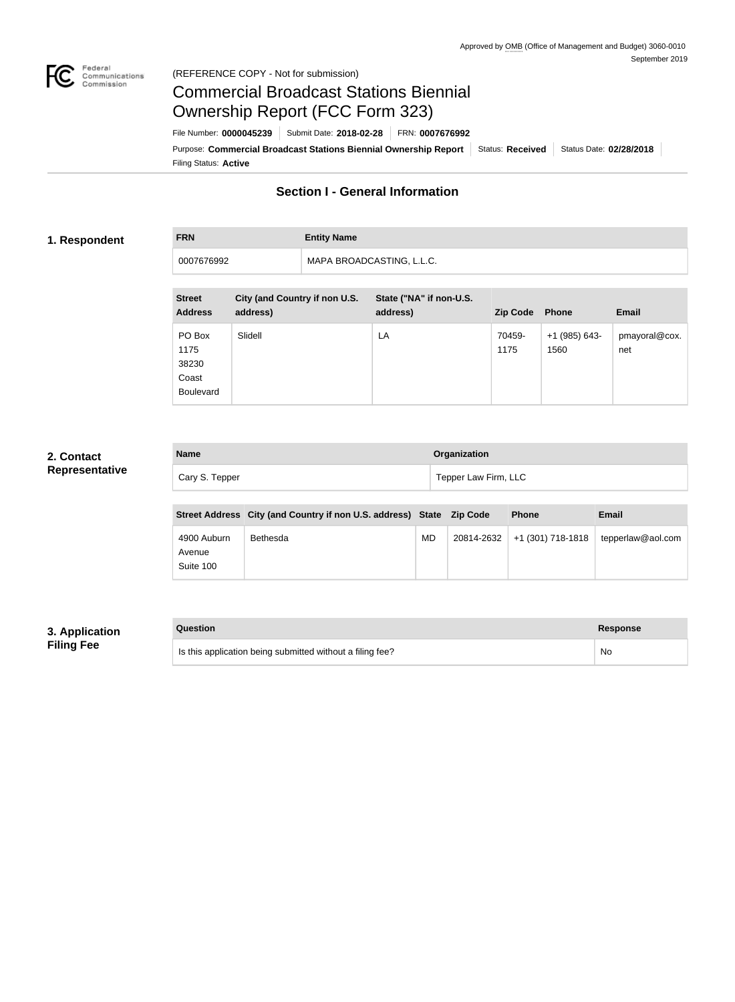

### Federal<br>Communications<br>Commission (REFERENCE COPY - Not for submission)

# Commercial Broadcast Stations Biennial Ownership Report (FCC Form 323)

Filing Status: **Active** Purpose: Commercial Broadcast Stations Biennial Ownership Report Status: Received Status Date: 02/28/2018 File Number: **0000045239** Submit Date: **2018-02-28** FRN: **0007676992**

# **Section I - General Information**

### **1. Respondent**

**FRN Entity Name** 0007676992 MAPA BROADCASTING, L.L.C.

| <b>Street</b><br><b>Address</b>                      | City (and Country if non U.S.<br>address) | State ("NA" if non-U.S.<br>address) | <b>Zip Code</b> | <b>Phone</b>          | <b>Email</b>         |
|------------------------------------------------------|-------------------------------------------|-------------------------------------|-----------------|-----------------------|----------------------|
| PO Box<br>1175<br>38230<br>Coast<br><b>Boulevard</b> | Slidell                                   | LA                                  | 70459-<br>1175  | +1 (985) 643-<br>1560 | pmayoral@cox.<br>net |

### **2. Contact Representative**

| <b>Name</b>    | Organization         |
|----------------|----------------------|
| Cary S. Tepper | Tepper Law Firm, LLC |

|                                    | Street Address City (and Country if non U.S. address) State Zip Code |    |            | <b>Phone</b>      | <b>Email</b>      |
|------------------------------------|----------------------------------------------------------------------|----|------------|-------------------|-------------------|
| 4900 Auburn<br>Avenue<br>Suite 100 | Bethesda                                                             | MD | 20814-2632 | +1 (301) 718-1818 | tepperlaw@aol.com |

### **3. Application Filing Fee**

| Question                                                  | Response |
|-----------------------------------------------------------|----------|
| Is this application being submitted without a filing fee? | No       |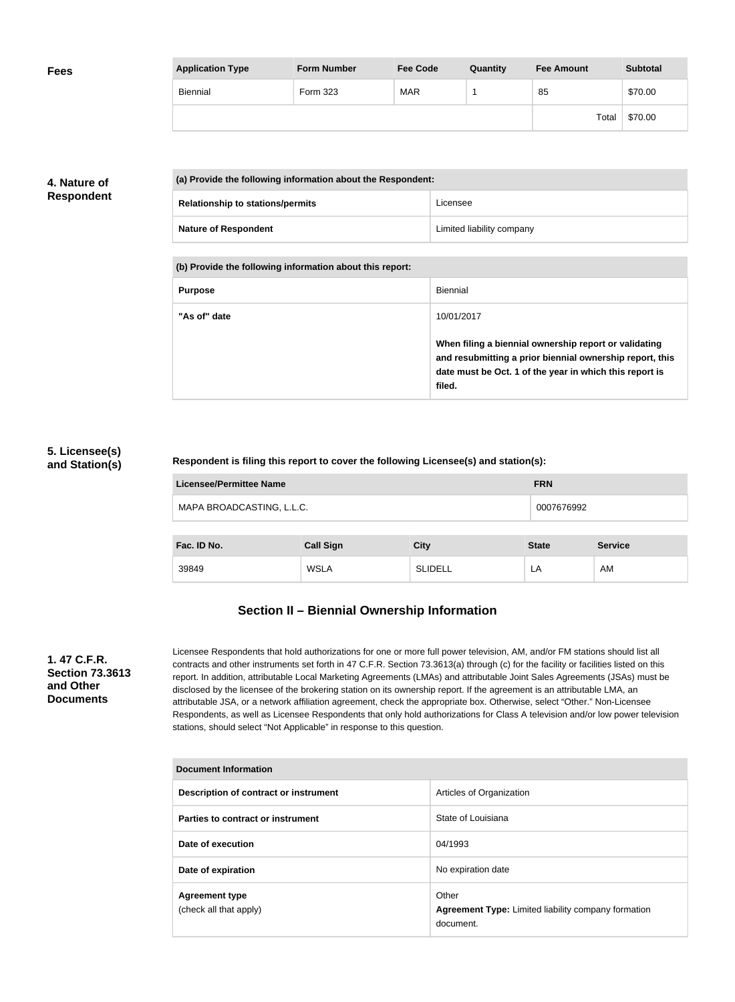| <b>Fees</b> | <b>Application Type</b> | <b>Form Number</b> | <b>Fee Code</b> | Quantity | <b>Fee Amount</b> | <b>Subtotal</b> |
|-------------|-------------------------|--------------------|-----------------|----------|-------------------|-----------------|
|             | Biennial                | Form 323           | <b>MAR</b>      |          | 85                | \$70.00         |
|             |                         |                    |                 |          | Total             | \$70.00         |

## **4. Nature of Respondent**

| (a) Provide the following information about the Respondent: |                           |  |
|-------------------------------------------------------------|---------------------------|--|
| <b>Relationship to stations/permits</b>                     | Licensee                  |  |
| <b>Nature of Respondent</b>                                 | Limited liability company |  |

**(b) Provide the following information about this report:**

| <b>Purpose</b> | Biennial                                                                                                                                                                               |
|----------------|----------------------------------------------------------------------------------------------------------------------------------------------------------------------------------------|
| "As of" date   | 10/01/2017                                                                                                                                                                             |
|                | When filing a biennial ownership report or validating<br>and resubmitting a prior biennial ownership report, this<br>date must be Oct. 1 of the year in which this report is<br>filed. |

### **5. Licensee(s) and Station(s)**

### **Respondent is filing this report to cover the following Licensee(s) and station(s):**

| Licensee/Permittee Name   | <b>FRN</b> |
|---------------------------|------------|
| MAPA BROADCASTING, L.L.C. | 0007676992 |
|                           |            |

| Fac. ID No. | <b>Call Sign</b> | City           | <b>State</b> | <b>Service</b> |
|-------------|------------------|----------------|--------------|----------------|
| 39849       | <b>WSLA</b>      | <b>SLIDELL</b> | LA           | AM             |

# **Section II – Biennial Ownership Information**

### **1. 47 C.F.R. Section 73.3613 and Other Documents**

Licensee Respondents that hold authorizations for one or more full power television, AM, and/or FM stations should list all contracts and other instruments set forth in 47 C.F.R. Section 73.3613(a) through (c) for the facility or facilities listed on this report. In addition, attributable Local Marketing Agreements (LMAs) and attributable Joint Sales Agreements (JSAs) must be disclosed by the licensee of the brokering station on its ownership report. If the agreement is an attributable LMA, an attributable JSA, or a network affiliation agreement, check the appropriate box. Otherwise, select "Other." Non-Licensee Respondents, as well as Licensee Respondents that only hold authorizations for Class A television and/or low power television stations, should select "Not Applicable" in response to this question.

| <b>Document Information</b>                     |                                                                                  |  |
|-------------------------------------------------|----------------------------------------------------------------------------------|--|
| Description of contract or instrument           | Articles of Organization                                                         |  |
| Parties to contract or instrument               | State of Louisiana                                                               |  |
| Date of execution                               | 04/1993                                                                          |  |
| Date of expiration                              | No expiration date                                                               |  |
| <b>Agreement type</b><br>(check all that apply) | Other<br><b>Agreement Type: Limited liability company formation</b><br>document. |  |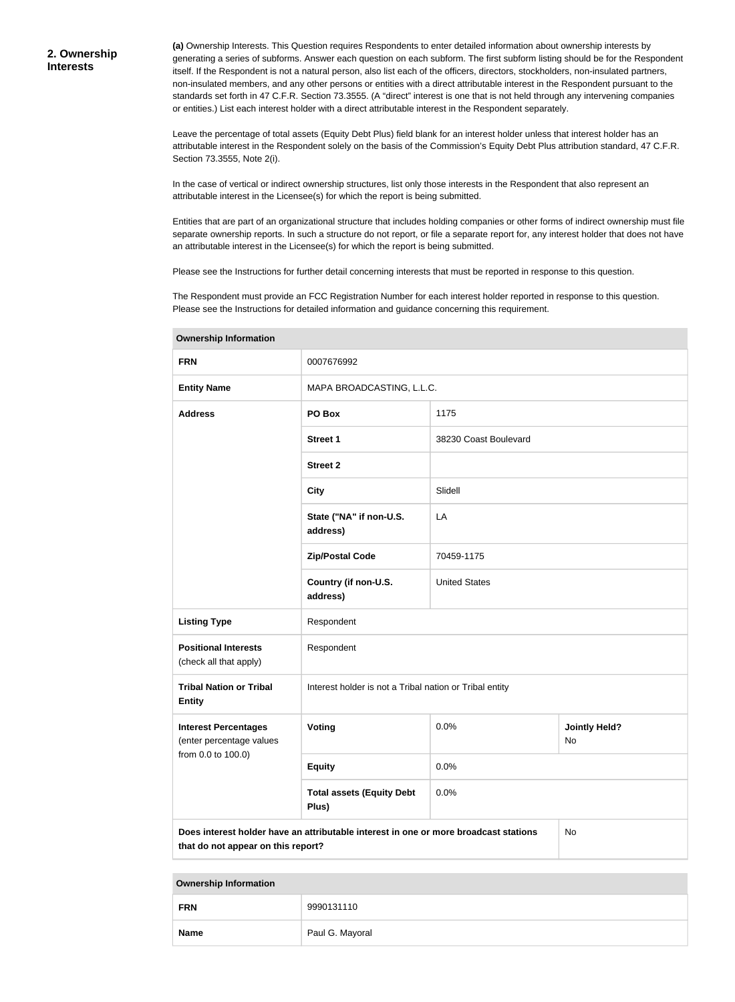**(a)** Ownership Interests. This Question requires Respondents to enter detailed information about ownership interests by generating a series of subforms. Answer each question on each subform. The first subform listing should be for the Respondent itself. If the Respondent is not a natural person, also list each of the officers, directors, stockholders, non-insulated partners, non-insulated members, and any other persons or entities with a direct attributable interest in the Respondent pursuant to the standards set forth in 47 C.F.R. Section 73.3555. (A "direct" interest is one that is not held through any intervening companies or entities.) List each interest holder with a direct attributable interest in the Respondent separately.

Leave the percentage of total assets (Equity Debt Plus) field blank for an interest holder unless that interest holder has an attributable interest in the Respondent solely on the basis of the Commission's Equity Debt Plus attribution standard, 47 C.F.R. Section 73.3555, Note 2(i).

In the case of vertical or indirect ownership structures, list only those interests in the Respondent that also represent an attributable interest in the Licensee(s) for which the report is being submitted.

Entities that are part of an organizational structure that includes holding companies or other forms of indirect ownership must file separate ownership reports. In such a structure do not report, or file a separate report for, any interest holder that does not have an attributable interest in the Licensee(s) for which the report is being submitted.

Please see the Instructions for further detail concerning interests that must be reported in response to this question.

The Respondent must provide an FCC Registration Number for each interest holder reported in response to this question. Please see the Instructions for detailed information and guidance concerning this requirement.

| <b>FRN</b>                                                                                                                       | 0007676992                                              |                       |                            |  |
|----------------------------------------------------------------------------------------------------------------------------------|---------------------------------------------------------|-----------------------|----------------------------|--|
| <b>Entity Name</b>                                                                                                               | MAPA BROADCASTING, L.L.C.                               |                       |                            |  |
| <b>Address</b>                                                                                                                   | PO Box                                                  | 1175                  |                            |  |
|                                                                                                                                  | <b>Street 1</b>                                         | 38230 Coast Boulevard |                            |  |
|                                                                                                                                  | <b>Street 2</b>                                         |                       |                            |  |
|                                                                                                                                  | <b>City</b>                                             | Slidell               |                            |  |
|                                                                                                                                  | State ("NA" if non-U.S.<br>address)                     | LA                    |                            |  |
|                                                                                                                                  | <b>Zip/Postal Code</b>                                  | 70459-1175            |                            |  |
|                                                                                                                                  | Country (if non-U.S.<br>address)                        | <b>United States</b>  |                            |  |
| <b>Listing Type</b>                                                                                                              | Respondent                                              |                       |                            |  |
| <b>Positional Interests</b><br>(check all that apply)                                                                            | Respondent                                              |                       |                            |  |
| <b>Tribal Nation or Tribal</b><br><b>Entity</b>                                                                                  | Interest holder is not a Tribal nation or Tribal entity |                       |                            |  |
| <b>Interest Percentages</b><br>(enter percentage values                                                                          | Voting                                                  | 0.0%                  | <b>Jointly Held?</b><br>No |  |
| from 0.0 to 100.0)                                                                                                               | <b>Equity</b>                                           | 0.0%                  |                            |  |
|                                                                                                                                  | <b>Total assets (Equity Debt</b><br>Plus)               | 0.0%                  |                            |  |
| Does interest holder have an attributable interest in one or more broadcast stations<br>No<br>that do not appear on this report? |                                                         |                       |                            |  |

**Ownership Information**

**Ownership Information**

| <b>FRN</b>  | 9990131110      |
|-------------|-----------------|
| <b>Name</b> | Paul G. Mayoral |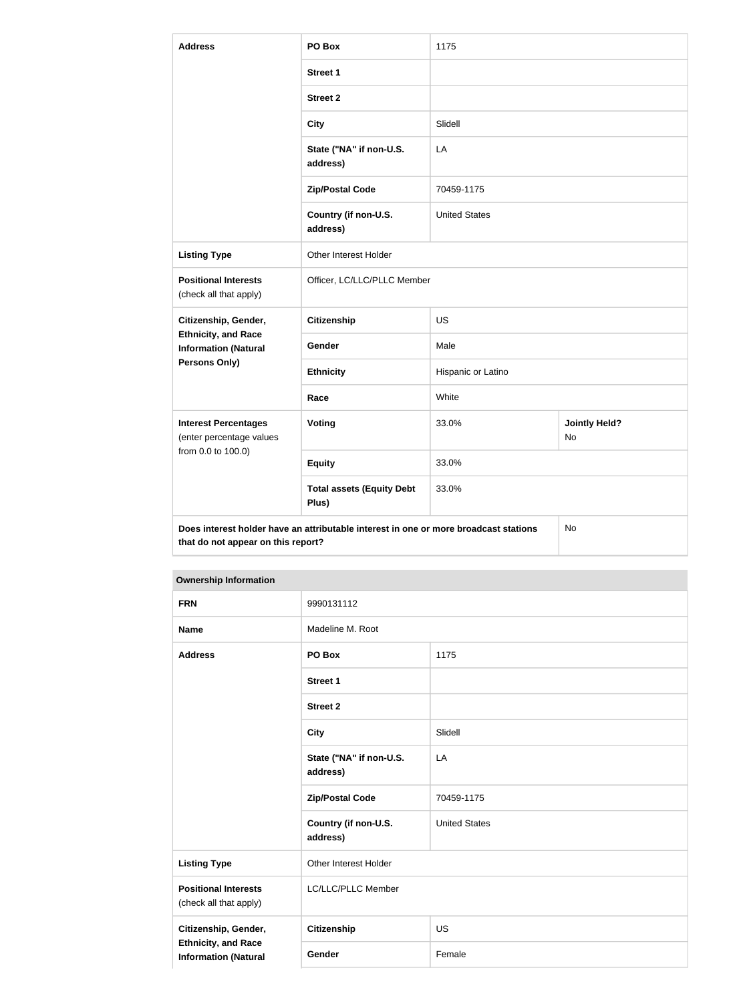| <b>Address</b>                                                                                            | PO Box                                                                               | 1175                 |                            |
|-----------------------------------------------------------------------------------------------------------|--------------------------------------------------------------------------------------|----------------------|----------------------------|
|                                                                                                           | <b>Street 1</b>                                                                      |                      |                            |
|                                                                                                           | <b>Street 2</b>                                                                      |                      |                            |
|                                                                                                           | <b>City</b>                                                                          | Slidell              |                            |
|                                                                                                           | State ("NA" if non-U.S.<br>address)                                                  | LA                   |                            |
|                                                                                                           | <b>Zip/Postal Code</b>                                                               | 70459-1175           |                            |
|                                                                                                           | Country (if non-U.S.<br>address)                                                     | <b>United States</b> |                            |
| <b>Listing Type</b>                                                                                       | Other Interest Holder                                                                |                      |                            |
| <b>Positional Interests</b><br>(check all that apply)                                                     | Officer, LC/LLC/PLLC Member                                                          |                      |                            |
| Citizenship, Gender,<br><b>Ethnicity, and Race</b><br><b>Information (Natural</b><br><b>Persons Only)</b> | <b>Citizenship</b>                                                                   | <b>US</b>            |                            |
|                                                                                                           | Gender                                                                               | Male                 |                            |
|                                                                                                           | <b>Ethnicity</b>                                                                     | Hispanic or Latino   |                            |
|                                                                                                           | Race                                                                                 | White                |                            |
| <b>Interest Percentages</b><br>(enter percentage values<br>from 0.0 to 100.0)                             | Voting                                                                               | 33.0%                | <b>Jointly Held?</b><br>No |
|                                                                                                           | <b>Equity</b>                                                                        | 33.0%                |                            |
|                                                                                                           | <b>Total assets (Equity Debt</b><br>Plus)                                            | 33.0%                |                            |
| that do not appear on this report?                                                                        | Does interest holder have an attributable interest in one or more broadcast stations |                      | No                         |

### **Ownership Information**

| <b>FRN</b>                                                                        | 9990131112                          |                      |
|-----------------------------------------------------------------------------------|-------------------------------------|----------------------|
| <b>Name</b>                                                                       | Madeline M. Root                    |                      |
| <b>Address</b>                                                                    | PO Box                              | 1175                 |
|                                                                                   | <b>Street 1</b>                     |                      |
|                                                                                   | <b>Street 2</b>                     |                      |
|                                                                                   | <b>City</b>                         | Slidell              |
|                                                                                   | State ("NA" if non-U.S.<br>address) | LA                   |
|                                                                                   | <b>Zip/Postal Code</b>              | 70459-1175           |
|                                                                                   | Country (if non-U.S.<br>address)    | <b>United States</b> |
| <b>Listing Type</b>                                                               | Other Interest Holder               |                      |
| <b>Positional Interests</b><br>(check all that apply)                             | LC/LLC/PLLC Member                  |                      |
| Citizenship, Gender,<br><b>Ethnicity, and Race</b><br><b>Information (Natural</b> | Citizenship                         | <b>US</b>            |
|                                                                                   | Gender                              | Female               |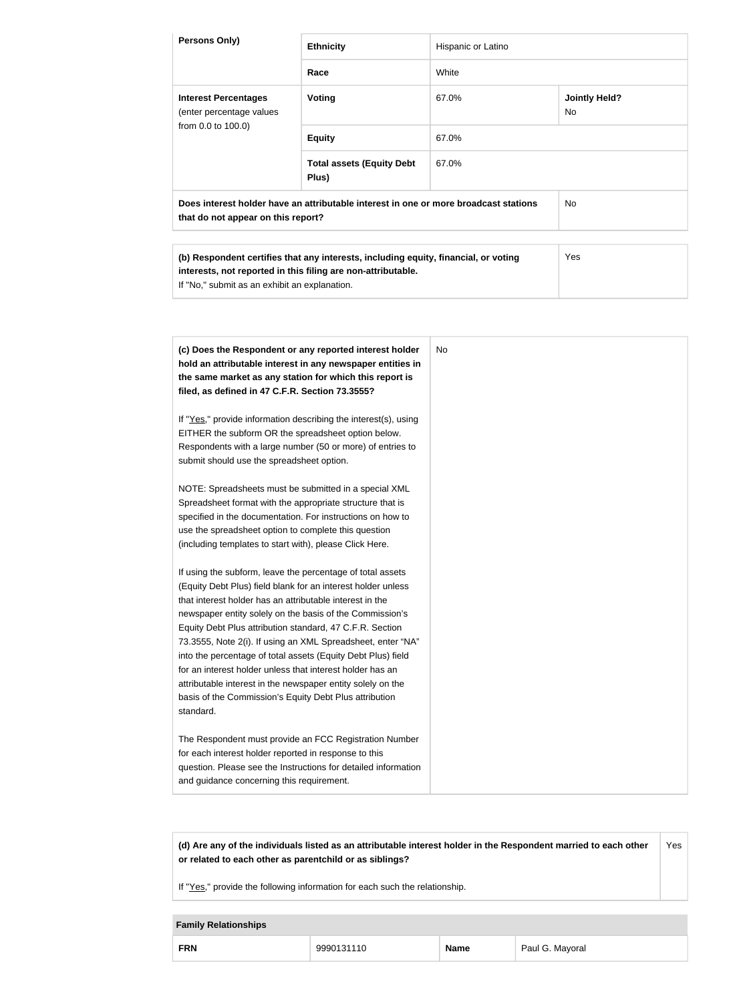| Persons Only)                                                                                                                                                                                                                                                                                                                                                                                                                                                                                                                                                                                                                                    | <b>Ethnicity</b>                                                                                                                                                                                                                                                                                                  | Hispanic or Latino |                            |
|--------------------------------------------------------------------------------------------------------------------------------------------------------------------------------------------------------------------------------------------------------------------------------------------------------------------------------------------------------------------------------------------------------------------------------------------------------------------------------------------------------------------------------------------------------------------------------------------------------------------------------------------------|-------------------------------------------------------------------------------------------------------------------------------------------------------------------------------------------------------------------------------------------------------------------------------------------------------------------|--------------------|----------------------------|
|                                                                                                                                                                                                                                                                                                                                                                                                                                                                                                                                                                                                                                                  | Race                                                                                                                                                                                                                                                                                                              | White              |                            |
| <b>Interest Percentages</b><br>(enter percentage values                                                                                                                                                                                                                                                                                                                                                                                                                                                                                                                                                                                          | Voting                                                                                                                                                                                                                                                                                                            | 67.0%              | <b>Jointly Held?</b><br>No |
| from 0.0 to 100.0)                                                                                                                                                                                                                                                                                                                                                                                                                                                                                                                                                                                                                               | <b>Equity</b>                                                                                                                                                                                                                                                                                                     | 67.0%              |                            |
|                                                                                                                                                                                                                                                                                                                                                                                                                                                                                                                                                                                                                                                  | <b>Total assets (Equity Debt</b><br>Plus)                                                                                                                                                                                                                                                                         | 67.0%              |                            |
| that do not appear on this report?                                                                                                                                                                                                                                                                                                                                                                                                                                                                                                                                                                                                               | Does interest holder have an attributable interest in one or more broadcast stations                                                                                                                                                                                                                              |                    | <b>No</b>                  |
| If "No," submit as an exhibit an explanation.                                                                                                                                                                                                                                                                                                                                                                                                                                                                                                                                                                                                    | (b) Respondent certifies that any interests, including equity, financial, or voting<br>interests, not reported in this filing are non-attributable.                                                                                                                                                               |                    | Yes                        |
|                                                                                                                                                                                                                                                                                                                                                                                                                                                                                                                                                                                                                                                  |                                                                                                                                                                                                                                                                                                                   |                    |                            |
| filed, as defined in 47 C.F.R. Section 73.3555?<br>EITHER the subform OR the spreadsheet option below.<br>submit should use the spreadsheet option.                                                                                                                                                                                                                                                                                                                                                                                                                                                                                              | (c) Does the Respondent or any reported interest holder<br>hold an attributable interest in any newspaper entities in<br>the same market as any station for which this report is<br>If "Yes," provide information describing the interest(s), using<br>Respondents with a large number (50 or more) of entries to | No.                |                            |
| Spreadsheet format with the appropriate structure that is<br>use the spreadsheet option to complete this question<br>(including templates to start with), please Click Here.                                                                                                                                                                                                                                                                                                                                                                                                                                                                     | NOTE: Spreadsheets must be submitted in a special XML<br>specified in the documentation. For instructions on how to                                                                                                                                                                                               |                    |                            |
| If using the subform, leave the percentage of total assets<br>(Equity Debt Plus) field blank for an interest holder unless<br>that interest holder has an attributable interest in the<br>newspaper entity solely on the basis of the Commission's<br>Equity Debt Plus attribution standard, 47 C.F.R. Section<br>73.3555, Note 2(i). If using an XML Spreadsheet, enter "NA"<br>into the percentage of total assets (Equity Debt Plus) field<br>for an interest holder unless that interest holder has an<br>attributable interest in the newspaper entity solely on the<br>basis of the Commission's Equity Debt Plus attribution<br>standard. |                                                                                                                                                                                                                                                                                                                   |                    |                            |
| The Respondent must provide an FCC Registration Number<br>for each interest holder reported in response to this<br>question. Please see the Instructions for detailed information<br>and guidance concerning this requirement.                                                                                                                                                                                                                                                                                                                                                                                                                   |                                                                                                                                                                                                                                                                                                                   |                    |                            |

**(d) Are any of the individuals listed as an attributable interest holder in the Respondent married to each other or related to each other as parentchild or as siblings?** Yes

If "Yes," provide the following information for each such the relationship.

### **Family Relationships**